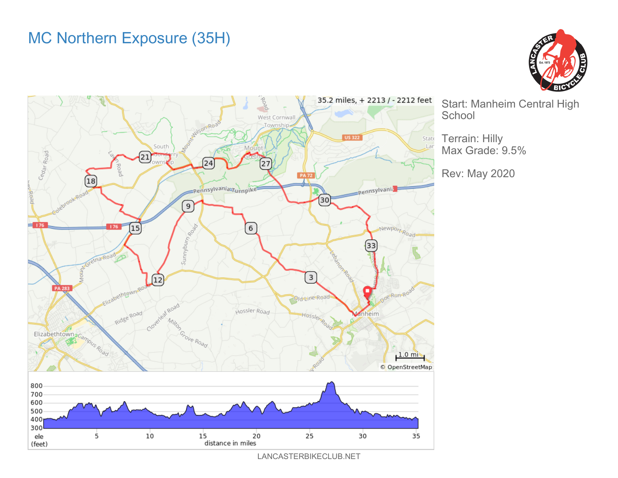## MC Northern Exposure (35H)